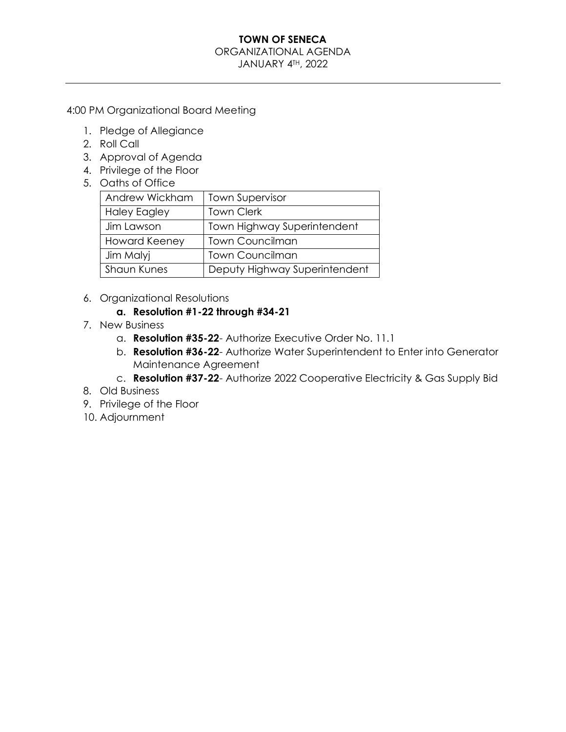#### ORGANIZATIONAL AGENDA

JANUARY 4TH, 2022

4:00 PM Organizational Board Meeting

- 1. Pledge of Allegiance
- 2. Roll Call
- 3. Approval of Agenda
- 4. Privilege of the Floor
- 5. Oaths of Office

| Andrew Wickham       | <b>Town Supervisor</b>        |
|----------------------|-------------------------------|
| <b>Haley Eagley</b>  | <b>Town Clerk</b>             |
| Jim Lawson           | Town Highway Superintendent   |
| <b>Howard Keeney</b> | <b>Town Councilman</b>        |
| Jim Malyj            | <b>Town Councilman</b>        |
| <b>Shaun Kunes</b>   | Deputy Highway Superintendent |

6. Organizational Resolutions

## **a. Resolution #1-22 through #34-21**

- 7. New Business
	- a. **Resolution #35-22** Authorize Executive Order No. 11.1
	- b. **Resolution #36-22** Authorize Water Superintendent to Enter into Generator Maintenance Agreement
	- c. **Resolution #37-22** Authorize 2022 Cooperative Electricity & Gas Supply Bid
- 8. Old Business
- 9. Privilege of the Floor
- 10. Adjournment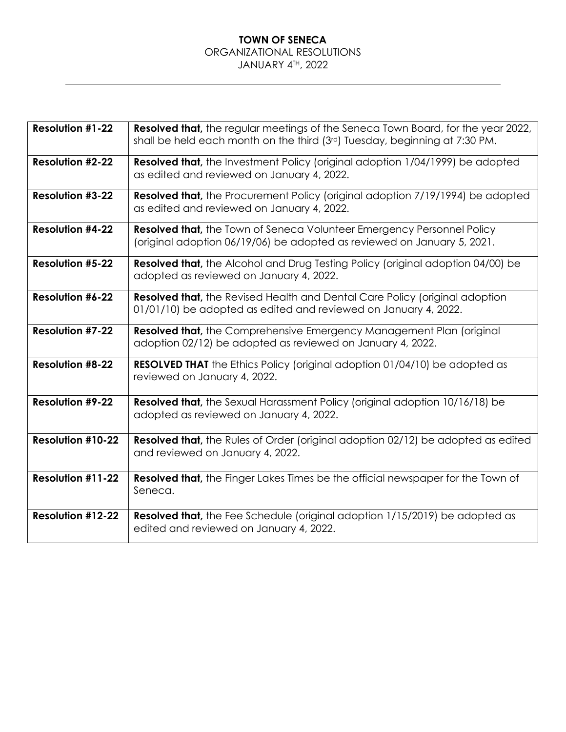#### **TOWN OF SENECA** ORGANIZATIONAL RESOLUTIONS JANUARY 4TH, 2022

| <b>Resolution #1-22</b>  | Resolved that, the regular meetings of the Seneca Town Board, for the year 2022,<br>shall be held each month on the third (3 <sup>rd</sup> ) Tuesday, beginning at 7:30 PM. |
|--------------------------|-----------------------------------------------------------------------------------------------------------------------------------------------------------------------------|
| <b>Resolution #2-22</b>  | <b>Resolved that,</b> the Investment Policy (original adoption 1/04/1999) be adopted<br>as edited and reviewed on January 4, 2022.                                          |
| <b>Resolution #3-22</b>  | <b>Resolved that,</b> the Procurement Policy (original adoption 7/19/1994) be adopted<br>as edited and reviewed on January 4, 2022.                                         |
| <b>Resolution #4-22</b>  | <b>Resolved that, the Town of Seneca Volunteer Emergency Personnel Policy</b><br>(original adoption 06/19/06) be adopted as reviewed on January 5, 2021.                    |
| <b>Resolution #5-22</b>  | <b>Resolved that,</b> the Alcohol and Drug Testing Policy (original adoption 04/00) be<br>adopted as reviewed on January 4, 2022.                                           |
| Resolution #6-22         | <b>Resolved that,</b> the Revised Health and Dental Care Policy (original adoption<br>01/01/10) be adopted as edited and reviewed on January 4, 2022.                       |
| <b>Resolution #7-22</b>  | <b>Resolved that, the Comprehensive Emergency Management Plan (original)</b><br>adoption 02/12) be adopted as reviewed on January 4, 2022.                                  |
| <b>Resolution #8-22</b>  | <b>RESOLVED THAT</b> the Ethics Policy (original adoption 01/04/10) be adopted as<br>reviewed on January 4, 2022.                                                           |
| <b>Resolution #9-22</b>  | <b>Resolved that,</b> the Sexual Harassment Policy (original adoption 10/16/18) be<br>adopted as reviewed on January 4, 2022.                                               |
| <b>Resolution #10-22</b> | <b>Resolved that,</b> the Rules of Order (original adoption 02/12) be adopted as edited<br>and reviewed on January 4, 2022.                                                 |
| <b>Resolution #11-22</b> | <b>Resolved that,</b> the Finger Lakes Times be the official newspaper for the Town of<br>Seneca.                                                                           |
| <b>Resolution #12-22</b> | <b>Resolved that,</b> the Fee Schedule (original adoption 1/15/2019) be adopted as<br>edited and reviewed on January 4, 2022.                                               |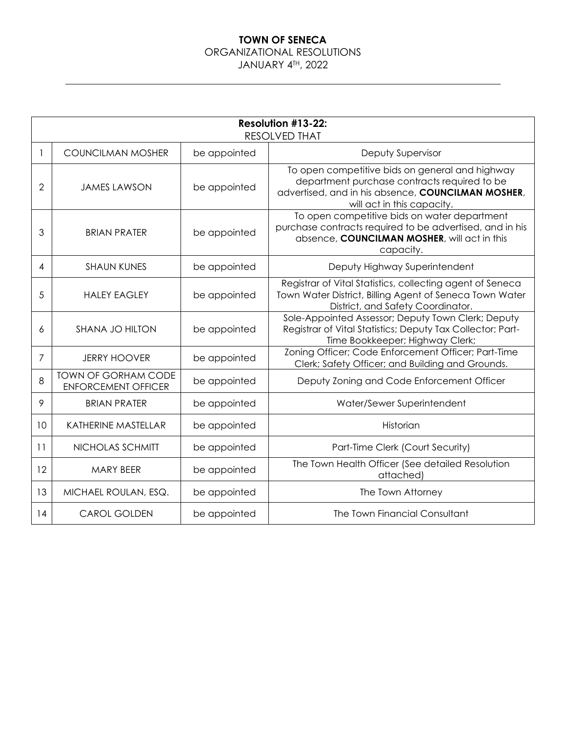## ORGANIZATIONAL RESOLUTIONS

JANUARY 4TH, 2022

| <b>Resolution #13-22:</b><br><b>RESOLVED THAT</b> |                                                          |              |                                                                                                                                                                                     |
|---------------------------------------------------|----------------------------------------------------------|--------------|-------------------------------------------------------------------------------------------------------------------------------------------------------------------------------------|
| 1                                                 | <b>COUNCILMAN MOSHER</b>                                 | be appointed | Deputy Supervisor                                                                                                                                                                   |
| 2                                                 | <b>JAMES LAWSON</b>                                      | be appointed | To open competitive bids on general and highway<br>department purchase contracts required to be<br>advertised, and in his absence, COUNCILMAN MOSHER,<br>will act in this capacity. |
| 3                                                 | <b>BRIAN PRATER</b>                                      | be appointed | To open competitive bids on water department<br>purchase contracts required to be advertised, and in his<br>absence, COUNCILMAN MOSHER, will act in this<br>capacity.               |
| 4                                                 | <b>SHAUN KUNES</b>                                       | be appointed | Deputy Highway Superintendent                                                                                                                                                       |
| 5                                                 | <b>HAIFY FAGIFY</b>                                      | be appointed | Registrar of Vital Statistics, collecting agent of Seneca<br>Town Water District, Billing Agent of Seneca Town Water<br>District, and Safety Coordinator.                           |
| 6                                                 | SHANA JO HILTON                                          | be appointed | Sole-Appointed Assessor; Deputy Town Clerk; Deputy<br>Registrar of Vital Statistics; Deputy Tax Collector; Part-<br>Time Bookkeeper; Highway Clerk;                                 |
| 7                                                 | <b>JERRY HOOVER</b>                                      | be appointed | Zoning Officer; Code Enforcement Officer; Part-Time<br>Clerk; Safety Officer; and Building and Grounds.                                                                             |
| 8                                                 | <b>TOWN OF GORHAM CODE</b><br><b>ENFORCEMENT OFFICER</b> | be appointed | Deputy Zoning and Code Enforcement Officer                                                                                                                                          |
| 9                                                 | <b>BRIAN PRATER</b>                                      | be appointed | Water/Sewer Superintendent                                                                                                                                                          |
| 10                                                | KATHERINE MASTELLAR                                      | be appointed | Historian                                                                                                                                                                           |
| 11                                                | NICHOLAS SCHMITT                                         | be appointed | Part-Time Clerk (Court Security)                                                                                                                                                    |
| 12                                                | <b>MARY BEER</b>                                         | be appointed | The Town Health Officer (See detailed Resolution<br>attached)                                                                                                                       |
| 13                                                | MICHAEL ROULAN, ESQ.                                     | be appointed | The Town Attorney                                                                                                                                                                   |
| 14                                                | <b>CAROL GOLDEN</b>                                      | be appointed | The Town Financial Consultant                                                                                                                                                       |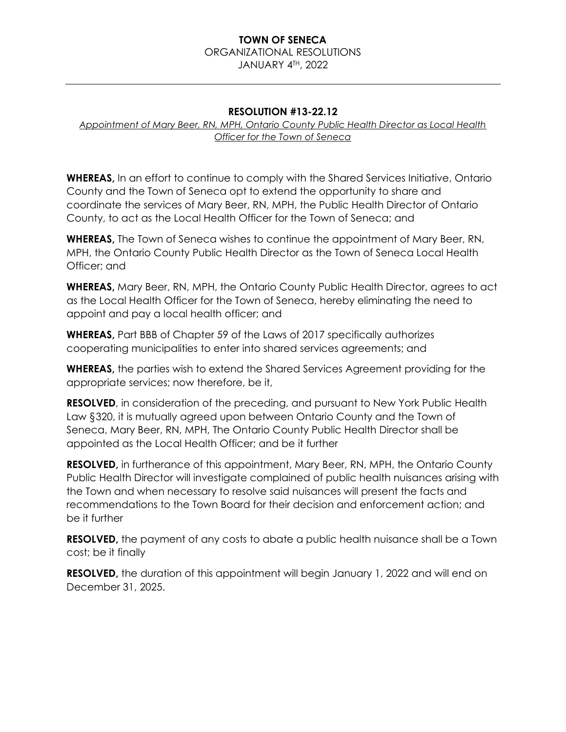# ORGANIZATIONAL RESOLUTIONS

JANUARY 4TH, 2022

#### **RESOLUTION #13-22.12**

*Appointment of Mary Beer, RN, MPH, Ontario County Public Health Director as Local Health Officer for the Town of Seneca*

**WHEREAS,** In an effort to continue to comply with the Shared Services Initiative, Ontario County and the Town of Seneca opt to extend the opportunity to share and coordinate the services of Mary Beer, RN, MPH, the Public Health Director of Ontario County, to act as the Local Health Officer for the Town of Seneca; and

**WHEREAS,** The Town of Seneca wishes to continue the appointment of Mary Beer, RN, MPH, the Ontario County Public Health Director as the Town of Seneca Local Health Officer; and

**WHEREAS,** Mary Beer, RN, MPH, the Ontario County Public Health Director, agrees to act as the Local Health Officer for the Town of Seneca, hereby eliminating the need to appoint and pay a local health officer; and

**WHEREAS,** Part BBB of Chapter 59 of the Laws of 2017 specifically authorizes cooperating municipalities to enter into shared services agreements; and

**WHEREAS,** the parties wish to extend the Shared Services Agreement providing for the appropriate services; now therefore, be it,

**RESOLVED**, in consideration of the preceding, and pursuant to New York Public Health Law §320, it is mutually agreed upon between Ontario County and the Town of Seneca, Mary Beer, RN, MPH, The Ontario County Public Health Director shall be appointed as the Local Health Officer; and be it further

**RESOLVED,** in furtherance of this appointment, Mary Beer, RN, MPH, the Ontario County Public Health Director will investigate complained of public health nuisances arising with the Town and when necessary to resolve said nuisances will present the facts and recommendations to the Town Board for their decision and enforcement action; and be it further

**RESOLVED,** the payment of any costs to abate a public health nuisance shall be a Town cost; be it finally

**RESOLVED**, the duration of this appointment will begin January 1, 2022 and will end on December 31, 2025.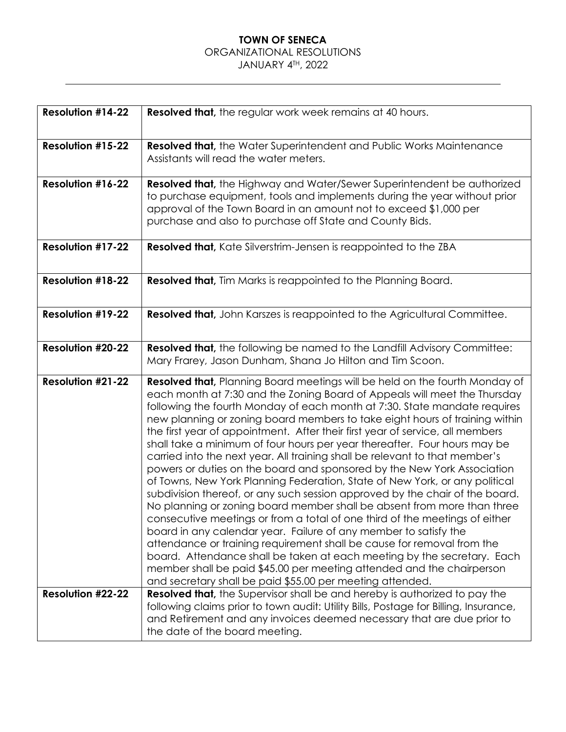## ORGANIZATIONAL RESOLUTIONS

## JANUARY 4TH, 2022

| <b>Resolution #14-22</b>                             | <b>Resolved that, the regular work week remains at 40 hours.</b>                                                                                                                                                                                                                                                                                                                                                                                                                                                                                                                                                                                                                                                                                                                                                                                                                                                                                                                                                                                                                                                                                                                                                                                                                                                                            |
|------------------------------------------------------|---------------------------------------------------------------------------------------------------------------------------------------------------------------------------------------------------------------------------------------------------------------------------------------------------------------------------------------------------------------------------------------------------------------------------------------------------------------------------------------------------------------------------------------------------------------------------------------------------------------------------------------------------------------------------------------------------------------------------------------------------------------------------------------------------------------------------------------------------------------------------------------------------------------------------------------------------------------------------------------------------------------------------------------------------------------------------------------------------------------------------------------------------------------------------------------------------------------------------------------------------------------------------------------------------------------------------------------------|
| <b>Resolution #15-22</b>                             | <b>Resolved that, the Water Superintendent and Public Works Maintenance</b><br>Assistants will read the water meters.                                                                                                                                                                                                                                                                                                                                                                                                                                                                                                                                                                                                                                                                                                                                                                                                                                                                                                                                                                                                                                                                                                                                                                                                                       |
| <b>Resolution #16-22</b><br><b>Resolution #17-22</b> | <b>Resolved that,</b> the Highway and Water/Sewer Superintendent be authorized<br>to purchase equipment, tools and implements during the year without prior<br>approval of the Town Board in an amount not to exceed \$1,000 per<br>purchase and also to purchase off State and County Bids.<br><b>Resolved that, Kate Silverstrim-Jensen is reappointed to the ZBA</b>                                                                                                                                                                                                                                                                                                                                                                                                                                                                                                                                                                                                                                                                                                                                                                                                                                                                                                                                                                     |
| <b>Resolution #18-22</b>                             | <b>Resolved that, Tim Marks is reappointed to the Planning Board.</b>                                                                                                                                                                                                                                                                                                                                                                                                                                                                                                                                                                                                                                                                                                                                                                                                                                                                                                                                                                                                                                                                                                                                                                                                                                                                       |
| <b>Resolution #19-22</b>                             | Resolved that, John Karszes is reappointed to the Agricultural Committee.                                                                                                                                                                                                                                                                                                                                                                                                                                                                                                                                                                                                                                                                                                                                                                                                                                                                                                                                                                                                                                                                                                                                                                                                                                                                   |
| <b>Resolution #20-22</b>                             | <b>Resolved that, the following be named to the Landfill Advisory Committee:</b><br>Mary Frarey, Jason Dunham, Shana Jo Hilton and Tim Scoon.                                                                                                                                                                                                                                                                                                                                                                                                                                                                                                                                                                                                                                                                                                                                                                                                                                                                                                                                                                                                                                                                                                                                                                                               |
| <b>Resolution #21-22</b>                             | <b>Resolved that, Planning Board meetings will be held on the fourth Monday of</b><br>each month at 7:30 and the Zoning Board of Appeals will meet the Thursday<br>following the fourth Monday of each month at 7:30. State mandate requires<br>new planning or zoning board members to take eight hours of training within<br>the first year of appointment. After their first year of service, all members<br>shall take a minimum of four hours per year thereafter. Four hours may be<br>carried into the next year. All training shall be relevant to that member's<br>powers or duties on the board and sponsored by the New York Association<br>of Towns, New York Planning Federation, State of New York, or any political<br>subdivision thereof, or any such session approved by the chair of the board.<br>No planning or zoning board member shall be absent from more than three<br>consecutive meetings or from a total of one third of the meetings of either<br>board in any calendar year. Failure of any member to satisfy the<br>attendance or training requirement shall be cause for removal from the<br>board. Attendance shall be taken at each meeting by the secretary. Each<br>member shall be paid \$45.00 per meeting attended and the chairperson<br>and secretary shall be paid \$55.00 per meeting attended. |
| <b>Resolution #22-22</b>                             | <b>Resolved that,</b> the Supervisor shall be and hereby is authorized to pay the<br>following claims prior to town audit: Utility Bills, Postage for Billing, Insurance,<br>and Retirement and any invoices deemed necessary that are due prior to<br>the date of the board meeting.                                                                                                                                                                                                                                                                                                                                                                                                                                                                                                                                                                                                                                                                                                                                                                                                                                                                                                                                                                                                                                                       |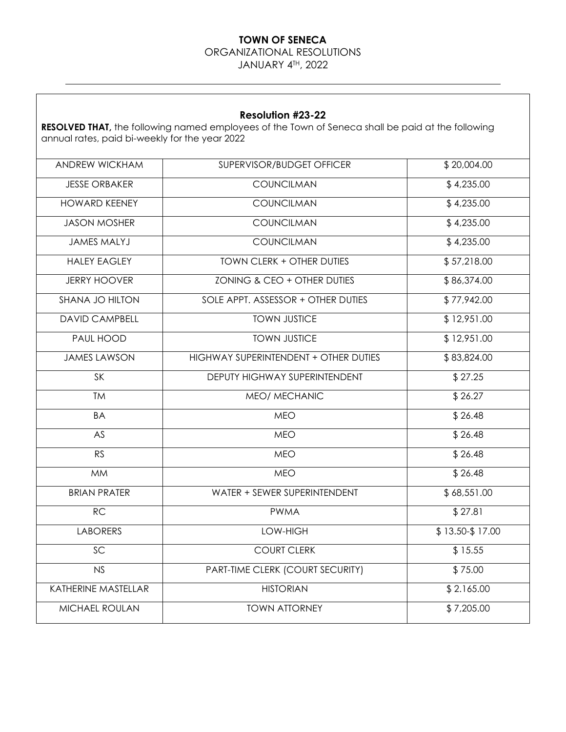ORGANIZATIONAL RESOLUTIONS

JANUARY 4TH, 2022

#### **Resolution #23-22**

**RESOLVED THAT,** the following named employees of the Town of Seneca shall be paid at the following annual rates, paid bi-weekly for the year 2022

| ANDREW WICKHAM        | SUPERVISOR/BUDGET OFFICER             | \$20,004.00     |
|-----------------------|---------------------------------------|-----------------|
| <b>JESSE ORBAKER</b>  | COUNCILMAN                            | \$4,235.00      |
| <b>HOWARD KEENEY</b>  | COUNCILMAN                            | \$4,235.00      |
| <b>JASON MOSHER</b>   | <b>COUNCILMAN</b>                     | \$4,235.00      |
| <b>JAMES MALYJ</b>    | COUNCILMAN                            | \$4,235.00      |
| <b>HALEY EAGLEY</b>   | TOWN CLERK + OTHER DUTIES             | \$57,218.00     |
| <b>JERRY HOOVER</b>   | ZONING & CEO + OTHER DUTIES           | \$86,374.00     |
| SHANA JO HILTON       | SOLE APPT. ASSESSOR + OTHER DUTIES    | \$77,942.00     |
| <b>DAVID CAMPBELL</b> | <b>TOWN JUSTICE</b>                   | \$12,951.00     |
| PAUL HOOD             | <b>TOWN JUSTICE</b>                   | \$12,951.00     |
| <b>JAMES LAWSON</b>   | HIGHWAY SUPERINTENDENT + OTHER DUTIES | \$83,824.00     |
| SK                    | DEPUTY HIGHWAY SUPERINTENDENT         | \$27.25         |
| <b>TM</b>             | MEO/ MECHANIC                         | \$26.27         |
| <b>BA</b>             | <b>MEO</b>                            | \$26.48         |
| AS                    | <b>MEO</b>                            | \$26.48         |
| <b>RS</b>             | <b>MEO</b>                            | \$26.48         |
| <b>MM</b>             | <b>MEO</b>                            | \$26.48         |
| <b>BRIAN PRATER</b>   | WATER + SEWER SUPERINTENDENT          | \$68,551.00     |
| RC                    | <b>PWMA</b>                           | \$27.81         |
| <b>LABORERS</b>       | LOW-HIGH                              | \$13.50-\$17.00 |
| $\overline{SC}$       | <b>COURT CLERK</b>                    | \$15.55         |
| NS                    | PART-TIME CLERK (COURT SECURITY)      | \$75.00         |
| KATHERINE MASTELLAR   | <b>HISTORIAN</b>                      | \$2.165.00      |
| MICHAEL ROULAN        | <b>TOWN ATTORNEY</b>                  | \$7,205.00      |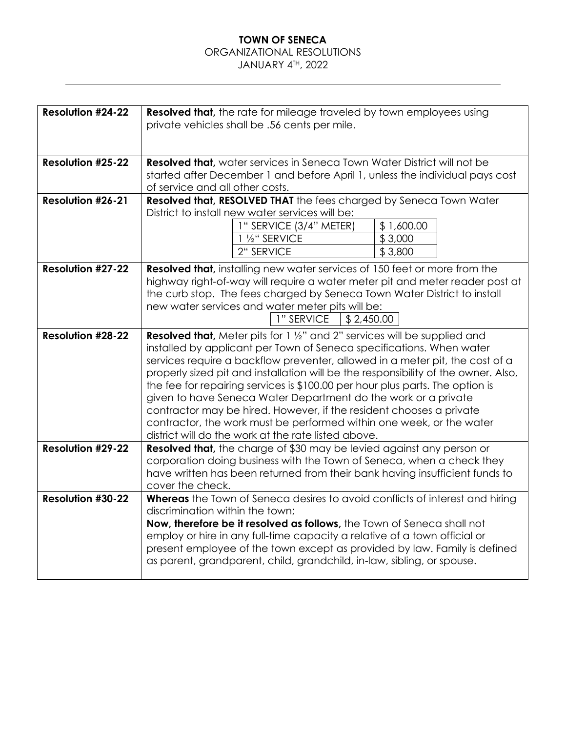## ORGANIZATIONAL RESOLUTIONS

## JANUARY 4TH, 2022

| <b>Resolution #24-22</b> | <b>Resolved that,</b> the rate for mileage traveled by town employees using<br>private vehicles shall be .56 cents per mile.                                        |                       |  |
|--------------------------|---------------------------------------------------------------------------------------------------------------------------------------------------------------------|-----------------------|--|
|                          |                                                                                                                                                                     |                       |  |
|                          |                                                                                                                                                                     |                       |  |
| <b>Resolution #25-22</b> | <b>Resolved that, water services in Seneca Town Water District will not be</b>                                                                                      |                       |  |
|                          | started after December 1 and before April 1, unless the individual pays cost                                                                                        |                       |  |
|                          | of service and all other costs.                                                                                                                                     |                       |  |
| <b>Resolution #26-21</b> | Resolved that, RESOLVED THAT the fees charged by Seneca Town Water                                                                                                  |                       |  |
|                          | District to install new water services will be:                                                                                                                     |                       |  |
|                          | 1" SERVICE (3/4" METER)<br>1 1/2" SERVICE                                                                                                                           | \$1,600.00<br>\$3,000 |  |
|                          | 2" SERVICE                                                                                                                                                          | \$3,800               |  |
|                          |                                                                                                                                                                     |                       |  |
| <b>Resolution #27-22</b> | <b>Resolved that, installing new water services of 150 feet or more from the</b>                                                                                    |                       |  |
|                          | highway right-of-way will require a water meter pit and meter reader post at                                                                                        |                       |  |
|                          | the curb stop. The fees charged by Seneca Town Water District to install                                                                                            |                       |  |
|                          | new water services and water meter pits will be:                                                                                                                    |                       |  |
|                          | 1" SERVICE<br>\$2,450.00                                                                                                                                            |                       |  |
| <b>Resolution #28-22</b> | <b>Resolved that,</b> Meter pits for 1 1/2" and 2" services will be supplied and                                                                                    |                       |  |
|                          | installed by applicant per Town of Seneca specifications. When water                                                                                                |                       |  |
|                          | services require a backflow preventer, allowed in a meter pit, the cost of a                                                                                        |                       |  |
|                          | properly sized pit and installation will be the responsibility of the owner. Also,<br>the fee for repairing services is \$100.00 per hour plus parts. The option is |                       |  |
|                          | given to have Seneca Water Department do the work or a private                                                                                                      |                       |  |
|                          | contractor may be hired. However, if the resident chooses a private                                                                                                 |                       |  |
|                          | contractor, the work must be performed within one week, or the water                                                                                                |                       |  |
|                          | district will do the work at the rate listed above.                                                                                                                 |                       |  |
| <b>Resolution #29-22</b> | <b>Resolved that,</b> the charge of \$30 may be levied against any person or                                                                                        |                       |  |
|                          | corporation doing business with the Town of Seneca, when a check they                                                                                               |                       |  |
|                          | have written has been returned from their bank having insufficient funds to                                                                                         |                       |  |
|                          | cover the check.                                                                                                                                                    |                       |  |
| <b>Resolution #30-22</b> | Whereas the Town of Seneca desires to avoid conflicts of interest and hiring                                                                                        |                       |  |
|                          | discrimination within the town;<br>Now, therefore be it resolved as follows, the Town of Seneca shall not                                                           |                       |  |
|                          | employ or hire in any full-time capacity a relative of a town official or                                                                                           |                       |  |
|                          | present employee of the town except as provided by law. Family is defined                                                                                           |                       |  |
|                          | as parent, grandparent, child, grandchild, in-law, sibling, or spouse.                                                                                              |                       |  |
|                          |                                                                                                                                                                     |                       |  |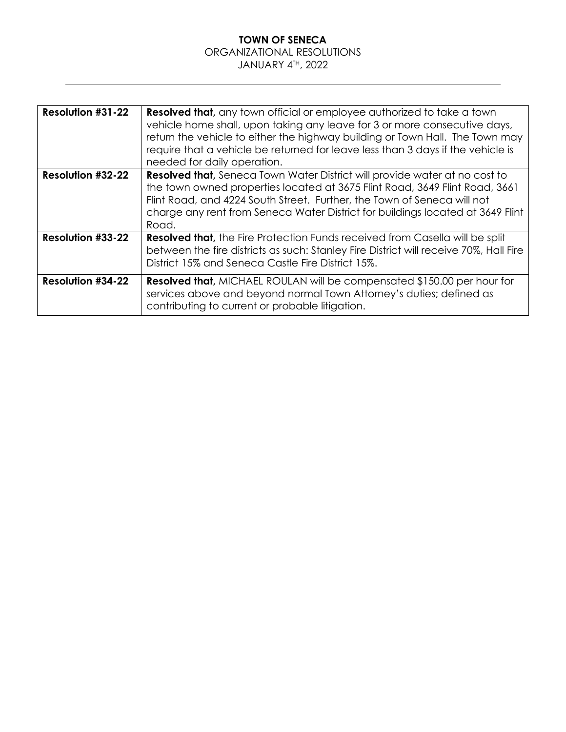#### **TOWN OF SENECA** ORGANIZATIONAL RESOLUTIONS JANUARY 4TH, 2022

| <b>Resolution #31-22</b> | <b>Resolved that,</b> any town official or employee authorized to take a town<br>vehicle home shall, upon taking any leave for 3 or more consecutive days,<br>return the vehicle to either the highway building or Town Hall. The Town may<br>require that a vehicle be returned for leave less than 3 days if the vehicle is<br>needed for daily operation. |
|--------------------------|--------------------------------------------------------------------------------------------------------------------------------------------------------------------------------------------------------------------------------------------------------------------------------------------------------------------------------------------------------------|
| <b>Resolution #32-22</b> | <b>Resolved that, Seneca Town Water District will provide water at no cost to</b><br>the town owned properties located at 3675 Flint Road, 3649 Flint Road, 3661<br>Flint Road, and 4224 South Street. Further, the Town of Seneca will not<br>charge any rent from Seneca Water District for buildings located at 3649 Flint<br>Road.                       |
| <b>Resolution #33-22</b> | <b>Resolved that, the Fire Protection Funds received from Casella will be split</b><br>between the fire districts as such: Stanley Fire District will receive 70%, Hall Fire<br>District 15% and Seneca Castle Fire District 15%.                                                                                                                            |
| <b>Resolution #34-22</b> | <b>Resolved that, MICHAEL ROULAN will be compensated \$150.00 per hour for</b><br>services above and beyond normal Town Attorney's duties; defined as<br>contributing to current or probable litigation.                                                                                                                                                     |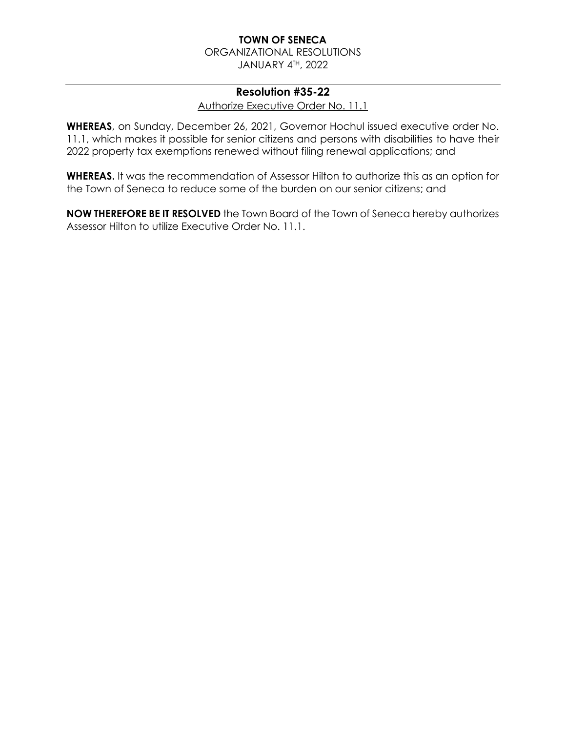ORGANIZATIONAL RESOLUTIONS JANUARY 4TH, 2022

#### **Resolution #35-22**

Authorize Executive Order No. 11.1

**WHEREAS**, on Sunday, December 26, 2021, Governor Hochul issued executive order No. 11.1, which makes it possible for senior citizens and persons with disabilities to have their 2022 property tax exemptions renewed without filing renewal applications; and

**WHEREAS.** It was the recommendation of Assessor Hilton to authorize this as an option for the Town of Seneca to reduce some of the burden on our senior citizens; and

**NOW THEREFORE BE IT RESOLVED** the Town Board of the Town of Seneca hereby authorizes Assessor Hilton to utilize Executive Order No. 11.1.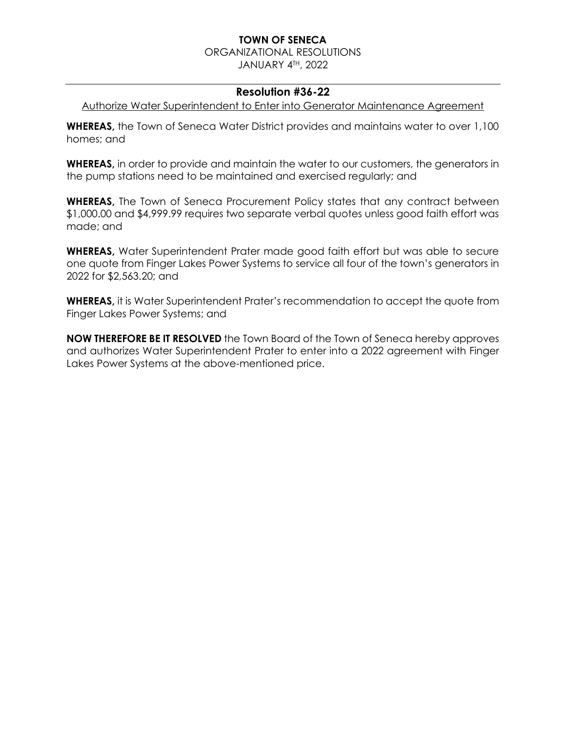ORGANIZATIONAL RESOLUTIONS

JANUARY 4TH, 2022

## **Resolution #36-22**

Authorize Water Superintendent to Enter into Generator Maintenance Agreement

**WHEREAS,** the Town of Seneca Water District provides and maintains water to over 1,100 homes; and

**WHEREAS,** in order to provide and maintain the water to our customers, the generators in the pump stations need to be maintained and exercised regularly; and

**WHEREAS,** The Town of Seneca Procurement Policy states that any contract between \$1,000.00 and \$4,999.99 requires two separate verbal quotes unless good faith effort was made; and

**WHEREAS,** Water Superintendent Prater made good faith effort but was able to secure one quote from Finger Lakes Power Systems to service all four of the town's generators in 2022 for \$2,563.20; and

**WHEREAS,** it is Water Superintendent Prater's recommendation to accept the quote from Finger Lakes Power Systems; and

**NOW THEREFORE BE IT RESOLVED** the Town Board of the Town of Seneca hereby approves and authorizes Water Superintendent Prater to enter into a 2022 agreement with Finger Lakes Power Systems at the above-mentioned price.